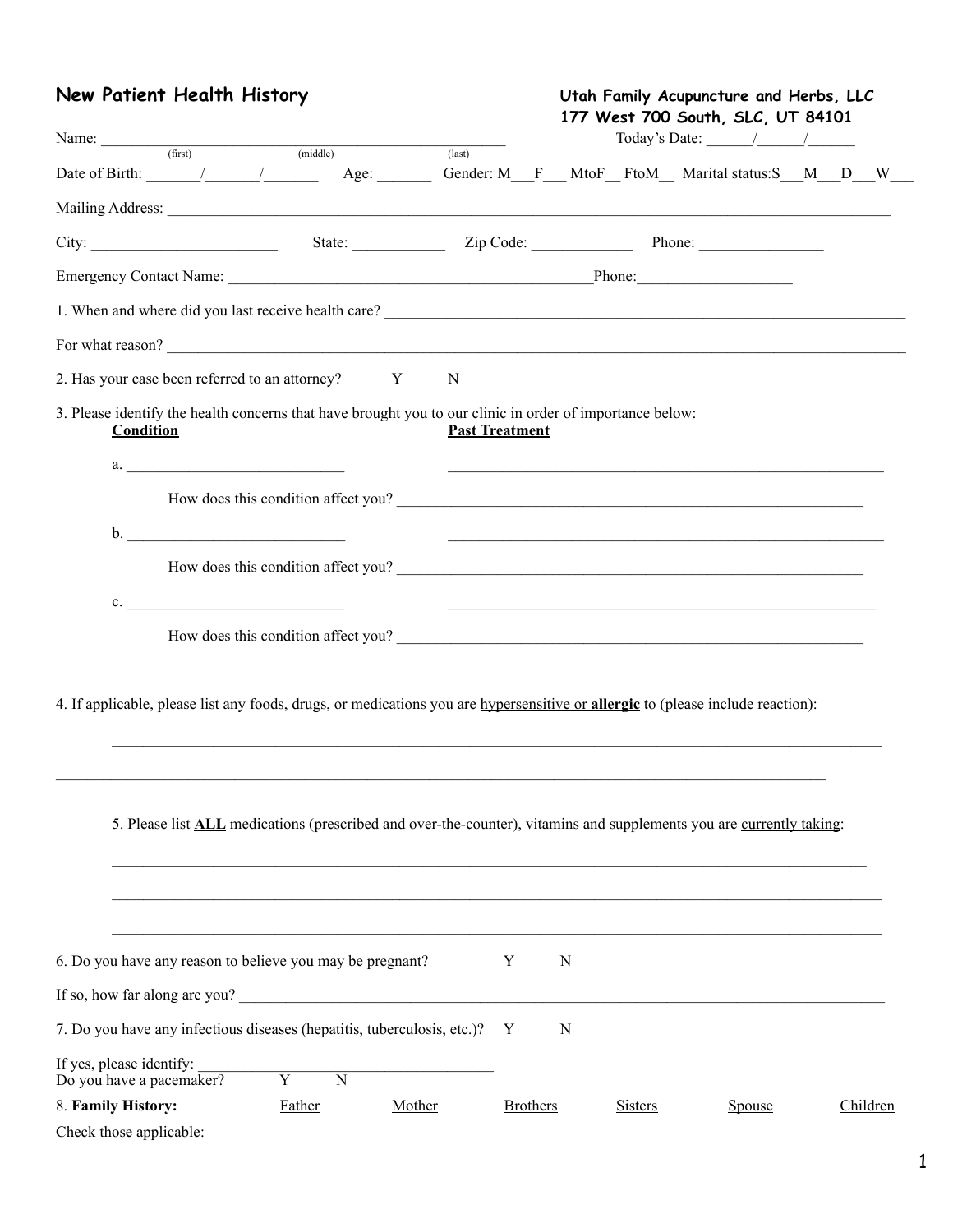## **New Patient Health History Utah Family Acupuncture and Herbs, LLC**

| Name: (first) (middle) (last)                                                                                                          |                       |                | 177 West 700 South, SLC, UT 84101<br>Today's Date: $\frac{1}{\sqrt{1-\frac{1}{2}}}\frac{1}{\sqrt{1-\frac{1}{2}}}\frac{1}{\sqrt{1-\frac{1}{2}}}\frac{1}{\sqrt{1-\frac{1}{2}}}\frac{1}{\sqrt{1-\frac{1}{2}}}\frac{1}{\sqrt{1-\frac{1}{2}}}\frac{1}{\sqrt{1-\frac{1}{2}}}\frac{1}{\sqrt{1-\frac{1}{2}}}\frac{1}{\sqrt{1-\frac{1}{2}}}\frac{1}{\sqrt{1-\frac{1}{2}}}\frac{1}{\sqrt{1-\frac{1}{2}}}\frac{1}{\sqrt{1-\frac{1}{2}}}\frac{1}{\sqrt{1-\frac{1}{$ |          |
|----------------------------------------------------------------------------------------------------------------------------------------|-----------------------|----------------|---------------------------------------------------------------------------------------------------------------------------------------------------------------------------------------------------------------------------------------------------------------------------------------------------------------------------------------------------------------------------------------------------------------------------------------------------------|----------|
|                                                                                                                                        |                       |                |                                                                                                                                                                                                                                                                                                                                                                                                                                                         |          |
|                                                                                                                                        |                       |                |                                                                                                                                                                                                                                                                                                                                                                                                                                                         |          |
|                                                                                                                                        |                       |                |                                                                                                                                                                                                                                                                                                                                                                                                                                                         |          |
|                                                                                                                                        |                       |                |                                                                                                                                                                                                                                                                                                                                                                                                                                                         |          |
|                                                                                                                                        |                       |                |                                                                                                                                                                                                                                                                                                                                                                                                                                                         |          |
|                                                                                                                                        |                       |                |                                                                                                                                                                                                                                                                                                                                                                                                                                                         |          |
| 2. Has your case been referred to an attorney? Y<br>N                                                                                  |                       |                |                                                                                                                                                                                                                                                                                                                                                                                                                                                         |          |
| 3. Please identify the health concerns that have brought you to our clinic in order of importance below:<br><b>Condition</b>           | <b>Past Treatment</b> |                |                                                                                                                                                                                                                                                                                                                                                                                                                                                         |          |
| a.                                                                                                                                     |                       |                | <u> 1989 - Johann Stoff, amerikansk politiker (d. 1989)</u>                                                                                                                                                                                                                                                                                                                                                                                             |          |
| How does this condition affect you?                                                                                                    |                       |                |                                                                                                                                                                                                                                                                                                                                                                                                                                                         |          |
| $\mathbf{b}$ .<br><u> 1989 - Johann Harry Barn, mars ar y brening ar y brening ar y brening ar y brening ar y brening ar y brening</u> |                       |                |                                                                                                                                                                                                                                                                                                                                                                                                                                                         |          |
| How does this condition affect you?                                                                                                    |                       |                |                                                                                                                                                                                                                                                                                                                                                                                                                                                         |          |
| c.                                                                                                                                     |                       |                | <u> 1980 - Jan Barbara, martxa alemaniar arterista (h. 1980).</u>                                                                                                                                                                                                                                                                                                                                                                                       |          |
| How does this condition affect you?                                                                                                    |                       |                |                                                                                                                                                                                                                                                                                                                                                                                                                                                         |          |
| 4. If applicable, please list any foods, drugs, or medications you are hypersensitive or allergic to (please include reaction):        |                       |                |                                                                                                                                                                                                                                                                                                                                                                                                                                                         |          |
| 5. Please list <b>ALL</b> medications (prescribed and over-the-counter), vitamins and supplements you are currently taking:            |                       |                |                                                                                                                                                                                                                                                                                                                                                                                                                                                         |          |
| 6. Do you have any reason to believe you may be pregnant?                                                                              | Y<br>N                |                |                                                                                                                                                                                                                                                                                                                                                                                                                                                         |          |
| If so, how far along are you?                                                                                                          |                       |                |                                                                                                                                                                                                                                                                                                                                                                                                                                                         |          |
| 7. Do you have any infectious diseases (hepatitis, tuberculosis, etc.)?                                                                | N<br>Y                |                |                                                                                                                                                                                                                                                                                                                                                                                                                                                         |          |
| If yes, please identify:<br>$\overline{Y}$<br>$\overline{N}$<br>Do you have a pacemaker?                                               |                       |                |                                                                                                                                                                                                                                                                                                                                                                                                                                                         |          |
| 8. Family History:<br>Father<br>Mother<br>Check those applicable:                                                                      | <b>Brothers</b>       | <b>Sisters</b> | <b>Spouse</b>                                                                                                                                                                                                                                                                                                                                                                                                                                           | Children |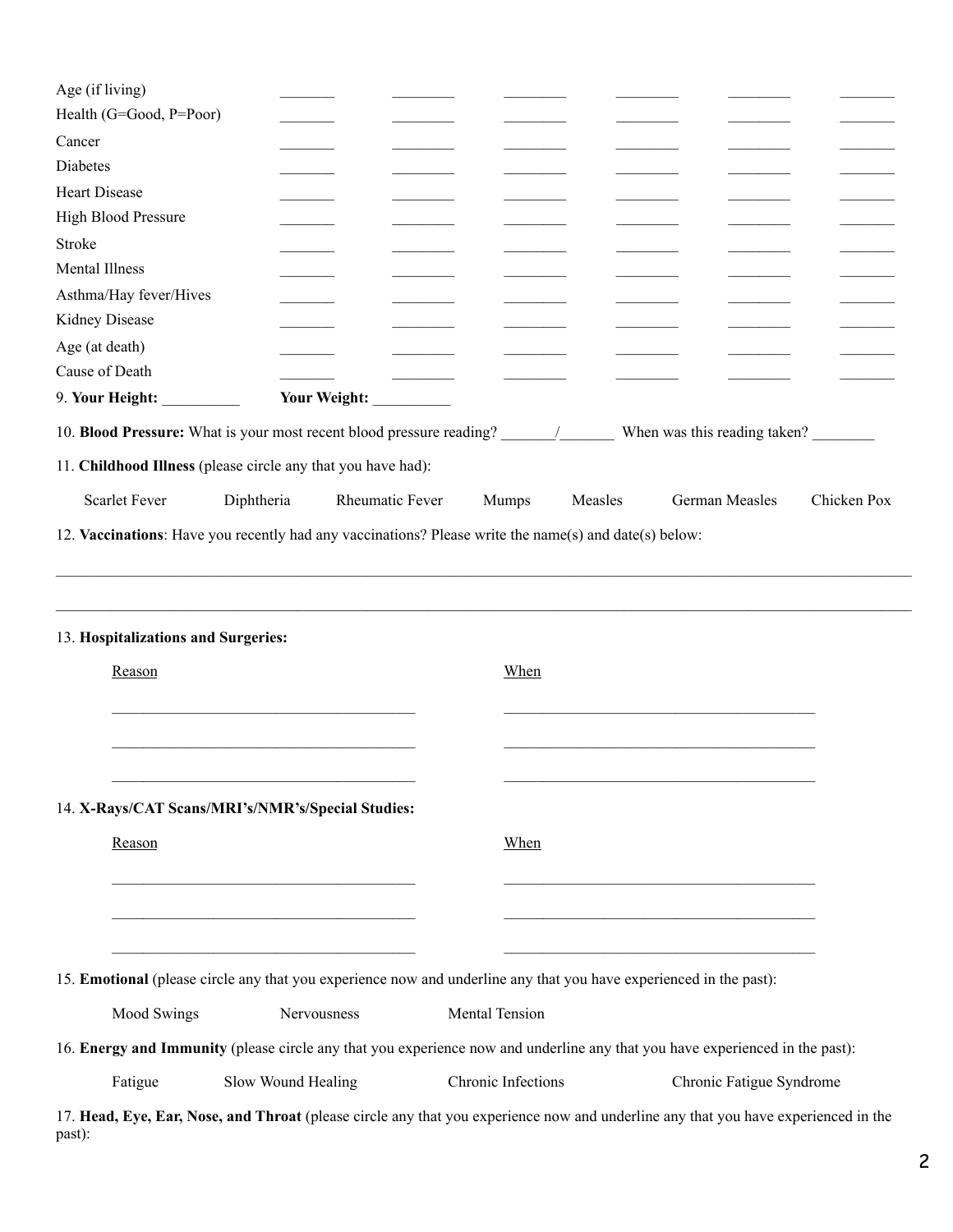| Health (G=Good, P=Poor)                                                                                                      |                                                                                                                                                                                                                                      |                          |                    |         |                                                                                                                      |             |
|------------------------------------------------------------------------------------------------------------------------------|--------------------------------------------------------------------------------------------------------------------------------------------------------------------------------------------------------------------------------------|--------------------------|--------------------|---------|----------------------------------------------------------------------------------------------------------------------|-------------|
| Cancer                                                                                                                       |                                                                                                                                                                                                                                      |                          |                    |         |                                                                                                                      |             |
| Diabetes                                                                                                                     |                                                                                                                                                                                                                                      |                          |                    |         |                                                                                                                      |             |
| <b>Heart Disease</b>                                                                                                         |                                                                                                                                                                                                                                      |                          |                    |         |                                                                                                                      |             |
| <b>High Blood Pressure</b>                                                                                                   |                                                                                                                                                                                                                                      |                          |                    |         |                                                                                                                      |             |
| <b>Stroke</b>                                                                                                                |                                                                                                                                                                                                                                      |                          |                    |         |                                                                                                                      |             |
| <b>Mental Illness</b>                                                                                                        |                                                                                                                                                                                                                                      |                          |                    |         |                                                                                                                      |             |
| Asthma/Hay fever/Hives                                                                                                       |                                                                                                                                                                                                                                      |                          |                    |         |                                                                                                                      |             |
| Kidney Disease                                                                                                               |                                                                                                                                                                                                                                      |                          |                    |         |                                                                                                                      |             |
| Age (at death)                                                                                                               |                                                                                                                                                                                                                                      |                          |                    |         |                                                                                                                      |             |
| Cause of Death                                                                                                               |                                                                                                                                                                                                                                      |                          |                    |         |                                                                                                                      |             |
|                                                                                                                              |                                                                                                                                                                                                                                      | Your Weight: ___________ |                    |         |                                                                                                                      |             |
|                                                                                                                              |                                                                                                                                                                                                                                      |                          |                    |         |                                                                                                                      |             |
| 11. Childhood Illness (please circle any that you have had):                                                                 |                                                                                                                                                                                                                                      |                          |                    |         |                                                                                                                      |             |
| <b>Scarlet Fever</b>                                                                                                         | Diphtheria                                                                                                                                                                                                                           | Rheumatic Fever          | Mumps              | Measles | German Measles                                                                                                       | Chicken Pox |
| 12. Vaccinations: Have you recently had any vaccinations? Please write the name(s) and date(s) below:                        |                                                                                                                                                                                                                                      |                          |                    |         |                                                                                                                      |             |
| 13. Hospitalizations and Surgeries:<br>Reason                                                                                |                                                                                                                                                                                                                                      |                          | When               |         |                                                                                                                      |             |
| 14. X-Rays/CAT Scans/MRI's/NMR's/Special Studies:                                                                            |                                                                                                                                                                                                                                      |                          |                    |         |                                                                                                                      |             |
| Reason                                                                                                                       | <u> 1989 - Johann John Stone, mars eta bainar eta mondo eta erroman erroman erroman erroman erroman erroman erroman erroman erroman erroman erroman erroman erroman erroman erroman erroman erroman erroman erroman erroman erro</u> |                          | When               |         | the control of the control of the control of the control of the control of the control of                            |             |
| 15. Emotional (please circle any that you experience now and underline any that you have experienced in the past):           | <u> 1989 - Johann John Barn, mars an deus Amerikaansk kommunister (</u>                                                                                                                                                              |                          |                    |         | <u> 1989 - Johann John Stone, mars eta bainar eta mondo eta erromana eta mondo eta erromana eta erromana eta err</u> |             |
| Mood Swings                                                                                                                  | Nervousness                                                                                                                                                                                                                          |                          | Mental Tension     |         |                                                                                                                      |             |
| 16. Energy and Immunity (please circle any that you experience now and underline any that you have experienced in the past): |                                                                                                                                                                                                                                      |                          |                    |         |                                                                                                                      |             |
| Fatigue                                                                                                                      | Slow Wound Healing                                                                                                                                                                                                                   |                          | Chronic Infections |         | Chronic Fatigue Syndrome                                                                                             |             |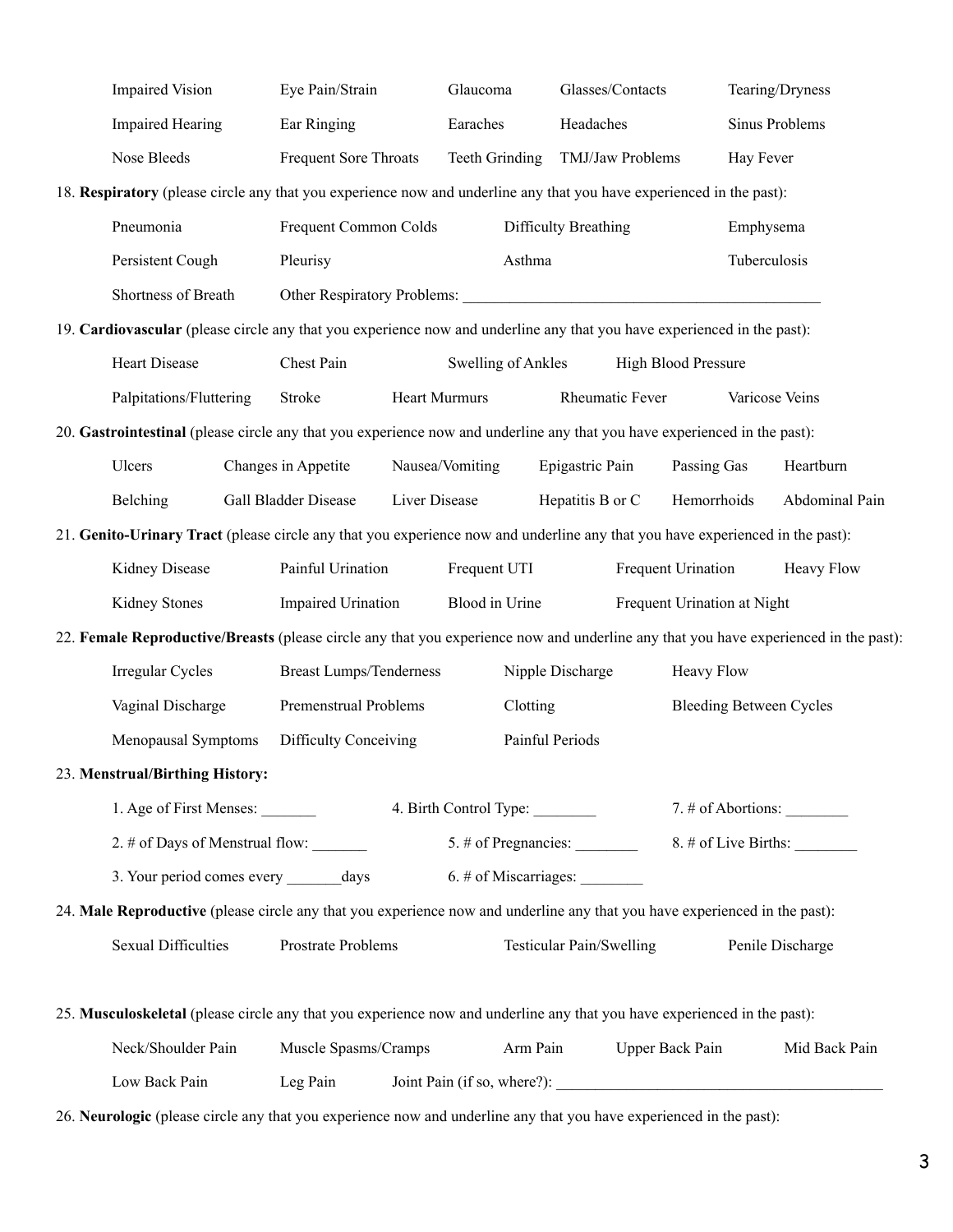| <b>Impaired Vision</b>                                                                                                               |  | Eye Pain/Strain                                                    |                      | Glaucoma                       |          |                          | Glasses/Contacts |                                | Tearing/Dryness  |                      |
|--------------------------------------------------------------------------------------------------------------------------------------|--|--------------------------------------------------------------------|----------------------|--------------------------------|----------|--------------------------|------------------|--------------------------------|------------------|----------------------|
| <b>Impaired Hearing</b>                                                                                                              |  | Ear Ringing                                                        |                      | Earaches                       |          | Headaches                |                  |                                | Sinus Problems   |                      |
| Nose Bleeds                                                                                                                          |  | Frequent Sore Throats                                              |                      | Teeth Grinding                 |          |                          | TMJ/Jaw Problems |                                | Hay Fever        |                      |
| 18. Respiratory (please circle any that you experience now and underline any that you have experienced in the past):                 |  |                                                                    |                      |                                |          |                          |                  |                                |                  |                      |
| Pneumonia                                                                                                                            |  | Frequent Common Colds                                              |                      |                                |          | Difficulty Breathing     |                  |                                | Emphysema        |                      |
| Persistent Cough                                                                                                                     |  | Pleurisy                                                           |                      |                                | Asthma   |                          |                  |                                | Tuberculosis     |                      |
| Shortness of Breath                                                                                                                  |  | Other Respiratory Problems: 2008. [2016] The Respiratory Problems: |                      |                                |          |                          |                  |                                |                  |                      |
| 19. Cardiovascular (please circle any that you experience now and underline any that you have experienced in the past):              |  |                                                                    |                      |                                |          |                          |                  |                                |                  |                      |
| Heart Disease                                                                                                                        |  | Chest Pain                                                         |                      | <b>Swelling of Ankles</b>      |          |                          |                  | <b>High Blood Pressure</b>     |                  |                      |
| Palpitations/Fluttering                                                                                                              |  | Stroke                                                             | <b>Heart Murmurs</b> |                                |          |                          | Rheumatic Fever  |                                | Varicose Veins   |                      |
| 20. Gastrointestinal (please circle any that you experience now and underline any that you have experienced in the past):            |  |                                                                    |                      |                                |          |                          |                  |                                |                  |                      |
| Ulcers                                                                                                                               |  | Changes in Appetite                                                |                      | Nausea/Vomiting                |          | Epigastric Pain          |                  | Passing Gas                    |                  | Heartburn            |
| Belching                                                                                                                             |  | <b>Gall Bladder Disease</b>                                        | Liver Disease        |                                |          | Hepatitis B or C         |                  | Hemorrhoids                    |                  | Abdominal Pain       |
| 21. Genito-Urinary Tract (please circle any that you experience now and underline any that you have experienced in the past):        |  |                                                                    |                      |                                |          |                          |                  |                                |                  |                      |
| Kidney Disease                                                                                                                       |  | Painful Urination                                                  |                      | Frequent UTI                   |          |                          |                  | Frequent Urination             |                  | Heavy Flow           |
| Kidney Stones                                                                                                                        |  | Impaired Urination                                                 |                      | Blood in Urine                 |          |                          |                  | Frequent Urination at Night    |                  |                      |
| 22. Female Reproductive/Breasts (please circle any that you experience now and underline any that you have experienced in the past): |  |                                                                    |                      |                                |          |                          |                  |                                |                  |                      |
| Irregular Cycles                                                                                                                     |  | <b>Breast Lumps/Tenderness</b>                                     |                      |                                |          | Nipple Discharge         |                  | Heavy Flow                     |                  |                      |
| Vaginal Discharge                                                                                                                    |  | Premenstrual Problems                                              |                      |                                | Clotting |                          |                  | <b>Bleeding Between Cycles</b> |                  |                      |
| Menopausal Symptoms                                                                                                                  |  | Difficulty Conceiving                                              |                      |                                |          | Painful Periods          |                  |                                |                  |                      |
| 23. Menstrual/Birthing History:                                                                                                      |  |                                                                    |                      |                                |          |                          |                  |                                |                  |                      |
| 1. Age of First Menses:                                                                                                              |  |                                                                    |                      | 4. Birth Control Type:         |          |                          |                  |                                |                  | $7.$ # of Abortions: |
| 2. # of Days of Menstrual flow: ________                                                                                             |  |                                                                    |                      |                                |          |                          |                  |                                |                  |                      |
| 3. Your period comes every _______ days                                                                                              |  |                                                                    |                      | $6.$ # of Miscarriages: $\_\_$ |          |                          |                  |                                |                  |                      |
| 24. Male Reproductive (please circle any that you experience now and underline any that you have experienced in the past):           |  |                                                                    |                      |                                |          |                          |                  |                                |                  |                      |
| <b>Sexual Difficulties</b>                                                                                                           |  | Prostrate Problems                                                 |                      |                                |          | Testicular Pain/Swelling |                  |                                | Penile Discharge |                      |
|                                                                                                                                      |  |                                                                    |                      |                                |          |                          |                  |                                |                  |                      |
| 25. Musculoskeletal (please circle any that you experience now and underline any that you have experienced in the past):             |  |                                                                    |                      |                                |          |                          |                  |                                |                  |                      |
| Neck/Shoulder Pain                                                                                                                   |  | Muscle Spasms/Cramps                                               |                      |                                | Arm Pain |                          |                  | <b>Upper Back Pain</b>         |                  | Mid Back Pain        |
| Low Back Pain<br>Leg Pain                                                                                                            |  |                                                                    |                      |                                |          |                          |                  |                                |                  |                      |

26. **Neurologic** (please circle any that you experience now and underline any that you have experienced in the past):